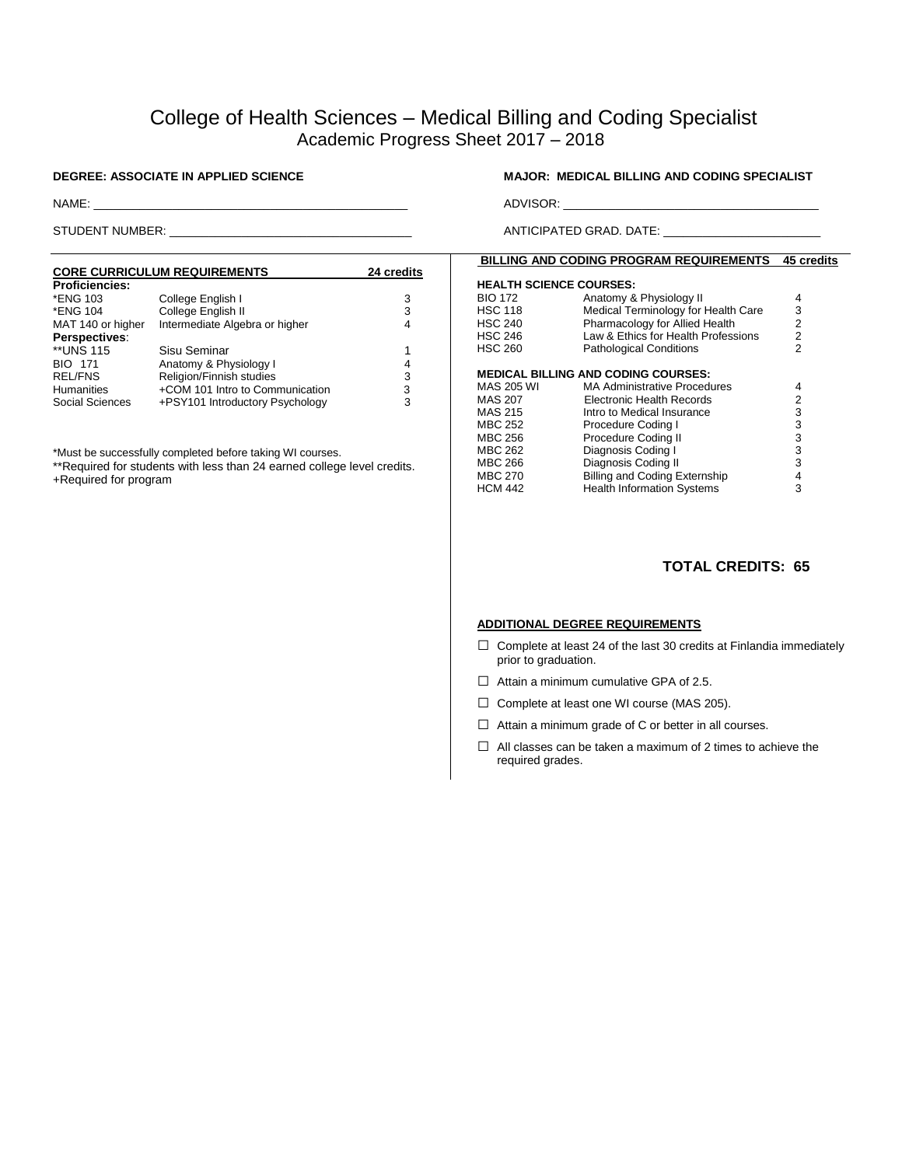# College of Health Sciences – Medical Billing and Coding Specialist Academic Progress Sheet 2017 – 2018

#### **CORE CURRICULUM REQUIREMENTS 24 credits** Proficiencies:<br>\*ENG 103 \*ENG 103 College English I 3 \*ENG 104 College English II 3 Intermediate Algebra or higher **Perspectives**: \*\*UNS 115 Sisu Seminar 1 BIO 171 Anatomy & Physiology I 4<br>REL/FNS Religion/Finnish studies 3<br>Humanities +COM 101 Intro to Communication 3 REL/FNS Religion/Finnish studies<br>
Humanities +COM 101 Intro to Com Humanities  $+$ COM 101 Intro to Communication 3<br>Social Sciences  $+$ PSY101 Introductory Psychology 3 +PSY101 Introductory Psychology

\*Must be successfully completed before taking WI courses.

\*\*Required for students with less than 24 earned college level credits.

+Required for program

### **DEGREE: ASSOCIATE IN APPLIED SCIENCE MAJOR: MEDICAL BILLING AND CODING SPECIALIST**

NAME: \_\_\_\_\_\_\_\_\_\_\_\_\_\_\_\_\_\_\_\_\_\_\_\_\_\_\_\_\_\_\_\_\_\_\_\_\_\_\_\_\_\_\_\_\_\_\_\_ ADVISOR: \_\_\_\_\_\_\_\_\_\_\_\_\_\_\_\_\_\_\_\_\_\_\_\_\_\_\_\_\_\_\_\_\_\_\_\_\_\_\_

STUDENT NUMBER: \_\_\_\_\_\_\_\_\_\_\_\_\_\_\_\_\_\_\_\_\_\_\_\_\_\_\_\_\_\_\_\_\_\_\_\_\_ ANTICIPATED GRAD. DATE: \_\_\_\_\_\_\_\_\_\_\_\_\_\_\_\_\_\_\_\_\_\_\_\_

### **BILLING AND CODING PROGRAM REQUIREMENTS 45 credits**

#### **HEALTH SCIENCE COURSES:**  BIO 172 Anatomy & Physiology II 4<br>HSC 118 Medical Terminology for Health Care 3 HSC 118 Medical Terminology for Health Care<br>HSC 240 Pharmacology for Allied Health Pharmacology for Allied Health 2 HSC 246 Law & Ethics for Health Professions 2 HSC 260 **Pathological Conditions** 2 **MEDICAL BILLING AND CODING COURSES:**  MA Administrative Procedures MAS 207 Electronic Health Records<br>
MAS 215 Intro to Medical Insurance 23 Intro to Medical Insurance MBC 252 Procedure Coding I 3 MBC 256 Procedure Coding II 3 MBC 262 Diagnosis Coding I<br>
MBC 266 Diagnosis Coding II 3 MBC 266 Diagnosis Coding II 3<br>MBC 270 Billing and Coding Externship 4 Billing and Coding Externship HCM 442 Health Information Systems 3

## **TOTAL CREDITS: 65**

#### **ADDITIONAL DEGREE REQUIREMENTS**

- $\square$  Complete at least 24 of the last 30 credits at Finlandia immediately prior to graduation.
- $\Box$  Attain a minimum cumulative GPA of 2.5.
- □ Complete at least one WI course (MAS 205).
- $\Box$  Attain a minimum grade of C or better in all courses.
- $\Box$  All classes can be taken a maximum of 2 times to achieve the required grades.